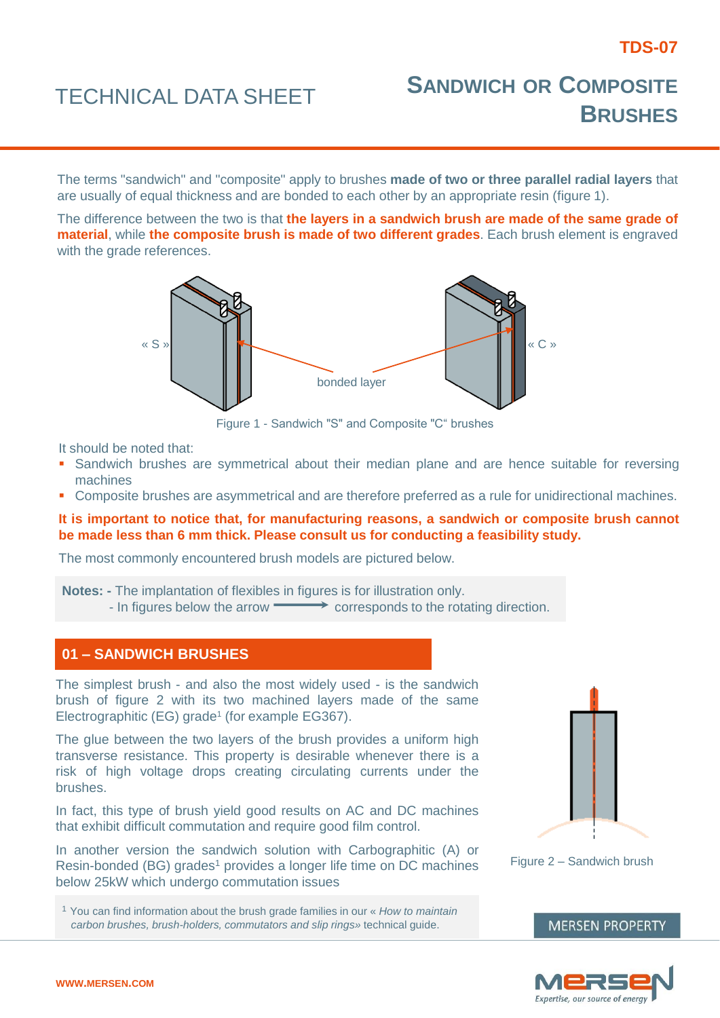# TECHNICAL DATA SHEET **<sup>S</sup>ANDWICH OR <sup>C</sup>OMPOSITE BRUSHES**

The terms "sandwich" and "composite" apply to brushes **made of two or three parallel radial layers** that are usually of equal thickness and are bonded to each other by an appropriate resin (figure 1).

The difference between the two is that **the layers in a sandwich brush are made of the same grade of material**, while **the composite brush is made of two different grades**. Each brush element is engraved with the grade references.



Figure 1 - Sandwich "S" and Composite "C" brushes

It should be noted that:

- **Sandwich brushes are symmetrical about their median plane and are hence suitable for reversing** machines
- **Composite brushes are asymmetrical and are therefore preferred as a rule for unidirectional machines.**

# **It is important to notice that, for manufacturing reasons, a sandwich or composite brush cannot be made less than 6 mm thick. Please consult us for conducting a feasibility study.**

The most commonly encountered brush models are pictured below.

**Notes: -** The implantation of flexibles in figures is for illustration only.  $-$  In figures below the arrow  $\longrightarrow$  corresponds to the rotating direction.

# **01 – SANDWICH BRUSHES**

The simplest brush - and also the most widely used - is the sandwich brush of figure 2 with its two machined layers made of the same Electrographitic (EG) grade<sup>1</sup> (for example EG367).

The glue between the two layers of the brush provides a uniform high transverse resistance. This property is desirable whenever there is a risk of high voltage drops creating circulating currents under the brushes.

In fact, this type of brush yield good results on AC and DC machines that exhibit difficult commutation and require good film control.

In another version the sandwich solution with Carbographitic (A) or Resin-bonded (BG) grades<sup>1</sup> provides a longer life time on DC machines below 25kW which undergo commutation issues

<sup>1</sup> You can find information about the brush grade families in our « *How to maintain carbon brushes, brush-holders, commutators and slip rings»* technical guide.



Figure 2 – Sandwich brush

**MERSEN PROPERTY**